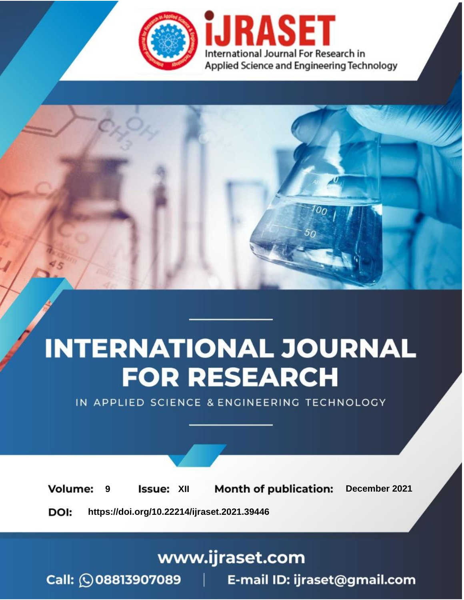

# **INTERNATIONAL JOURNAL FOR RESEARCH**

IN APPLIED SCIENCE & ENGINEERING TECHNOLOGY

**Month of publication: Volume: Issue: XII** December 2021 9 DOI: https://doi.org/10.22214/ijraset.2021.39446

www.ijraset.com

Call: 008813907089 | E-mail ID: ijraset@gmail.com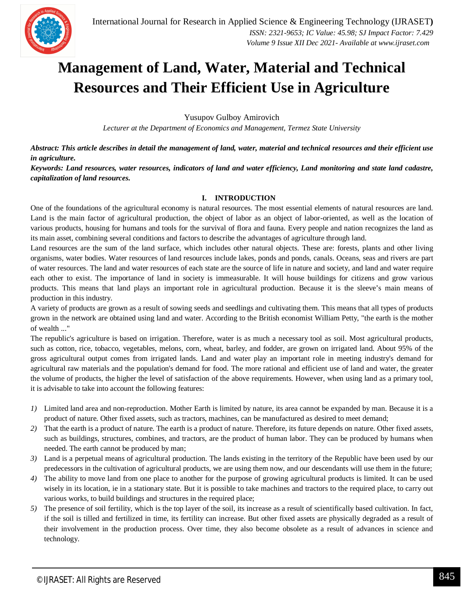

## **Management of Land, Water, Material and Technical Resources and Their Efficient Use in Agriculture**

Yusupov Gulboy Amirovich

*Lecturer at the Department of Economics and Management, Termez State University*

*Abstract: This article describes in detail the management of land, water, material and technical resources and their efficient use in agriculture.*

*Keywords: Land resources, water resources, indicators of land and water efficiency, Land monitoring and state land cadastre, capitalization of land resources.*

### **I. INTRODUCTION**

One of the foundations of the agricultural economy is natural resources. The most essential elements of natural resources are land. Land is the main factor of agricultural production, the object of labor as an object of labor-oriented, as well as the location of various products, housing for humans and tools for the survival of flora and fauna. Every people and nation recognizes the land as its main asset, combining several conditions and factors to describe the advantages of agriculture through land.

Land resources are the sum of the land surface, which includes other natural objects. These are: forests, plants and other living organisms, water bodies. Water resources of land resources include lakes, ponds and ponds, canals. Oceans, seas and rivers are part of water resources. The land and water resources of each state are the source of life in nature and society, and land and water require each other to exist. The importance of land in society is immeasurable. It will house buildings for citizens and grow various products. This means that land plays an important role in agricultural production. Because it is the sleeve's main means of production in this industry.

A variety of products are grown as a result of sowing seeds and seedlings and cultivating them. This means that all types of products grown in the network are obtained using land and water. According to the British economist William Petty, "the earth is the mother of wealth ..."

The republic's agriculture is based on irrigation. Therefore, water is as much a necessary tool as soil. Most agricultural products, such as cotton, rice, tobacco, vegetables, melons, corn, wheat, barley, and fodder, are grown on irrigated land. About 95% of the gross agricultural output comes from irrigated lands. Land and water play an important role in meeting industry's demand for agricultural raw materials and the population's demand for food. The more rational and efficient use of land and water, the greater the volume of products, the higher the level of satisfaction of the above requirements. However, when using land as a primary tool, it is advisable to take into account the following features:

- *1)* Limited land area and non-reproduction. Mother Earth is limited by nature, its area cannot be expanded by man. Because it is a product of nature. Other fixed assets, such as tractors, machines, can be manufactured as desired to meet demand;
- *2)* That the earth is a product of nature. The earth is a product of nature. Therefore, its future depends on nature. Other fixed assets, such as buildings, structures, combines, and tractors, are the product of human labor. They can be produced by humans when needed. The earth cannot be produced by man;
- *3)* Land is a perpetual means of agricultural production. The lands existing in the territory of the Republic have been used by our predecessors in the cultivation of agricultural products, we are using them now, and our descendants will use them in the future;
- *4*) The ability to move land from one place to another for the purpose of growing agricultural products is limited. It can be used wisely in its location, ie in a stationary state. But it is possible to take machines and tractors to the required place, to carry out various works, to build buildings and structures in the required place;
- *5)* The presence of soil fertility, which is the top layer of the soil, its increase as a result of scientifically based cultivation. In fact, if the soil is tilled and fertilized in time, its fertility can increase. But other fixed assets are physically degraded as a result of their involvement in the production process. Over time, they also become obsolete as a result of advances in science and technology.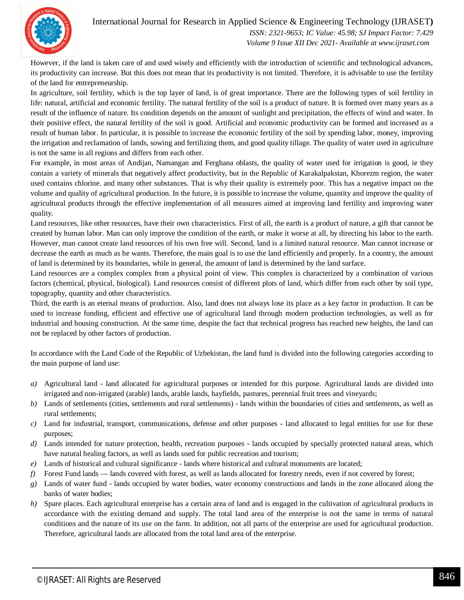

### International Journal for Research in Applied Science & Engineering Technology (IJRASET**)**

 *ISSN: 2321-9653; IC Value: 45.98; SJ Impact Factor: 7.429 Volume 9 Issue XII Dec 2021- Available at www.ijraset.com*

However, if the land is taken care of and used wisely and efficiently with the introduction of scientific and technological advances, its productivity can increase. But this does not mean that its productivity is not limited. Therefore, it is advisable to use the fertility of the land for entrepreneurship.

In agriculture, soil fertility, which is the top layer of land, is of great importance. There are the following types of soil fertility in life: natural, artificial and economic fertility. The natural fertility of the soil is a product of nature. It is formed over many years as a result of the influence of nature. Its condition depends on the amount of sunlight and precipitation, the effects of wind and water. In their positive effect, the natural fertility of the soil is good. Artificial and economic productivity can be formed and increased as a result of human labor. In particular, it is possible to increase the economic fertility of the soil by spending labor, money, improving the irrigation and reclamation of lands, sowing and fertilizing them, and good quality tillage. The quality of water used in agriculture is not the same in all regions and differs from each other.

For example, in most areas of Andijan, Namangan and Ferghana oblasts, the quality of water used for irrigation is good, ie they contain a variety of minerals that negatively affect productivity, but in the Republic of Karakalpakstan, Khorezm region, the water used contains chlorine. and many other substances. That is why their quality is extremely poor. This has a negative impact on the volume and quality of agricultural production. In the future, it is possible to increase the volume, quantity and improve the quality of agricultural products through the effective implementation of all measures aimed at improving land fertility and improving water quality.

Land resources, like other resources, have their own characteristics. First of all, the earth is a product of nature, a gift that cannot be created by human labor. Man can only improve the condition of the earth, or make it worse at all, by directing his labor to the earth. However, man cannot create land resources of his own free will. Second, land is a limited natural resource. Man cannot increase or decrease the earth as much as he wants. Therefore, the main goal is to use the land efficiently and properly. In a country, the amount of land is determined by its boundaries, while in general, the amount of land is determined by the land surface.

Land resources are a complex complex from a physical point of view. This complex is characterized by a combination of various factors (chemical, physical, biological). Land resources consist of different plots of land, which differ from each other by soil type, topography, quantity and other characteristics.

Third, the earth is an eternal means of production. Also, land does not always lose its place as a key factor in production. It can be used to increase funding, efficient and effective use of agricultural land through modern production technologies, as well as for industrial and housing construction. At the same time, despite the fact that technical progress has reached new heights, the land can not be replaced by other factors of production.

In accordance with the Land Code of the Republic of Uzbekistan, the land fund is divided into the following categories according to the main purpose of land use:

- *a)* Agricultural land land allocated for agricultural purposes or intended for this purpose. Agricultural lands are divided into irrigated and non-irrigated (arable) lands, arable lands, hayfields, pastures, perennial fruit trees and vineyards;
- *b)* Lands of settlements (cities, settlements and rural settlements) lands within the boundaries of cities and settlements, as well as rural settlements;
- *c)* Land for industrial, transport, communications, defense and other purposes land allocated to legal entities for use for these purposes;
- *d*) Lands intended for nature protection, health, recreation purposes lands occupied by specially protected natural areas, which have natural healing factors, as well as lands used for public recreation and tourism;
- *e)* Lands of historical and cultural significance lands where historical and cultural monuments are located;
- *f)* Forest Fund lands lands covered with forest, as well as lands allocated for forestry needs, even if not covered by forest;
- *g)* Lands of water fund lands occupied by water bodies, water economy constructions and lands in the zone allocated along the banks of water bodies;
- *h*) Spare places. Each agricultural enterprise has a certain area of land and is engaged in the cultivation of agricultural products in accordance with the existing demand and supply. The total land area of the enterprise is not the same in terms of natural conditions and the nature of its use on the farm. In addition, not all parts of the enterprise are used for agricultural production. Therefore, agricultural lands are allocated from the total land area of the enterprise.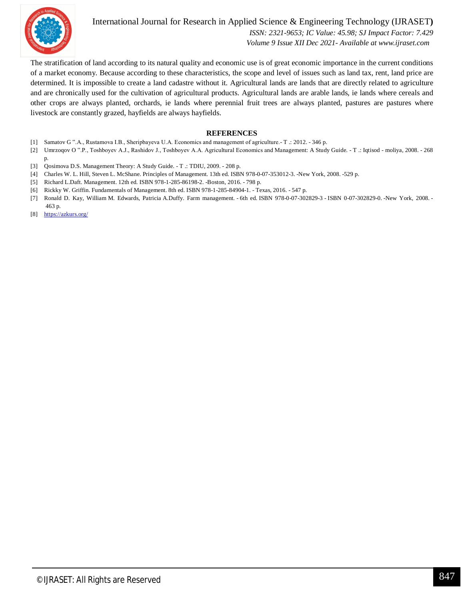

International Journal for Research in Applied Science & Engineering Technology (IJRASET**)**  *ISSN: 2321-9653; IC Value: 45.98; SJ Impact Factor: 7.429 Volume 9 Issue XII Dec 2021- Available at www.ijraset.com*

The stratification of land according to its natural quality and economic use is of great economic importance in the current conditions of a market economy. Because according to these characteristics, the scope and level of issues such as land tax, rent, land price are determined. It is impossible to create a land cadastre without it. Agricultural lands are lands that are directly related to agriculture and are chronically used for the cultivation of agricultural products. Agricultural lands are arable lands, ie lands where cereals and other crops are always planted, orchards, ie lands where perennial fruit trees are always planted, pastures are pastures where livestock are constantly grazed, hayfields are always hayfields.

#### **REFERENCES**

- [1] Samatov G ".A., Rustamova I.B., Sheripbayeva U.A. Economics and management of agriculture.- T .: 2012. 346 p.
- [2] Umrzoqov O ".P., Toshboyev A.J., Rashidov J., Toshboyev A.A. Agricultural Economics and Management: A Study Guide. T .: Iqtisod moliya, 2008. 268 p.
- [3] Qosimova D.S. Management Theory: A Study Guide. T .: TDIU, 2009. 208 p.
- [4] Charles W. L. Hill, Steven L. McShane. Principles of Management. 13th ed. ISBN 978-0-07-353012-3. -New York, 2008. -529 p.
- [5] Richard L.Daft. Management. 12th ed. ISBN 978-1-285-86198-2. -Boston, 2016. 798 p.
- [6] Rickky W. Griffin. Fundamentals of Management. 8th ed. ISBN 978-1-285-84904-1. Texas, 2016. 547 p.
- [7] Ronald D. Kay, William M. Edwards, Patricia A.Duffy. Farm management. 6th ed. ISBN 978-0-07-302829-3 ISBN 0-07-302829-0. -New York, 2008. 463 p.
- [8] https://azkurs.org/